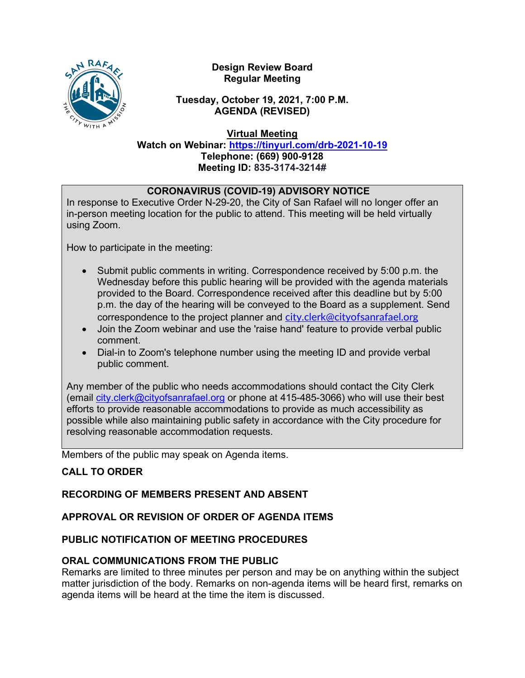

**Design Review Board Regular Meeting**

**Tuesday, October 19, 2021, 7:00 P.M. AGENDA (REVISED)**

**Virtual Meeting**

**Watch on Webinar: <https://tinyurl.com/drb-2021-10-19> Telephone: (669) 900-9128 Meeting ID: 835-3174-3214#**

## **CORONAVIRUS (COVID-19) ADVISORY NOTICE**

In response to Executive Order N-29-20, the City of San Rafael will no longer offer an in-person meeting location for the public to attend. This meeting will be held virtually using Zoom.

How to participate in the meeting:

- Submit public comments in writing. Correspondence received by 5:00 p.m. the Wednesday before this public hearing will be provided with the agenda materials provided to the Board. Correspondence received after this deadline but by 5:00 p.m. the day of the hearing will be conveyed to the Board as a supplement. Send correspondence to the project planner and [city.clerk@cityofsanrafael.org](mailto:city.clerk@cityofsanrafael.org)
- Join the Zoom webinar and use the 'raise hand' feature to provide verbal public comment.
- Dial-in to Zoom's telephone number using the meeting ID and provide verbal public comment.

Any member of the public who needs accommodations should contact the City Clerk (email [city.clerk@cityofsanrafael.org](mailto:city.clerk@cityofsanrafael.org) or phone at 415-485-3066) who will use their best efforts to provide reasonable accommodations to provide as much accessibility as possible while also maintaining public safety in accordance with the City procedure for resolving reasonable accommodation requests.

Members of the public may speak on Agenda items.

# **CALL TO ORDER**

### **RECORDING OF MEMBERS PRESENT AND ABSENT**

### **APPROVAL OR REVISION OF ORDER OF AGENDA ITEMS**

### **PUBLIC NOTIFICATION OF MEETING PROCEDURES**

### **ORAL COMMUNICATIONS FROM THE PUBLIC**

Remarks are limited to three minutes per person and may be on anything within the subject matter jurisdiction of the body. Remarks on non-agenda items will be heard first, remarks on agenda items will be heard at the time the item is discussed.